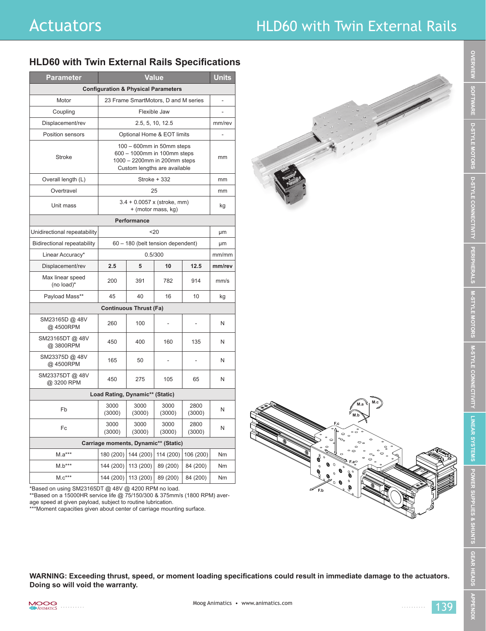## Actuators **Actuators HLD60** with Twin External Rails

## **HLD60 with Twin External Rails Specifications**

| <b>Parameter</b>                               | Value                                                                                                                    |                     |                |                | <b>Units</b> |
|------------------------------------------------|--------------------------------------------------------------------------------------------------------------------------|---------------------|----------------|----------------|--------------|
| <b>Configuration &amp; Physical Parameters</b> |                                                                                                                          |                     |                |                |              |
| Motor                                          | 23 Frame SmartMotors, D and M series                                                                                     |                     |                |                |              |
| Coupling                                       | Flexible Jaw                                                                                                             |                     |                |                |              |
| Displacement/rev                               | 2.5, 5, 10, 12.5                                                                                                         |                     |                |                | mm/rev       |
| Position sensors                               | Optional Home & EOT limits                                                                                               |                     |                |                |              |
| Stroke                                         | 100 - 600mm in 50mm steps<br>600 - 1000mm in 100mm steps<br>1000 - 2200mm in 200mm steps<br>Custom lengths are available |                     |                |                | mm           |
| Overall length (L)                             | Stroke + 332                                                                                                             |                     |                |                | mm           |
| Overtravel                                     | 25                                                                                                                       |                     |                |                | mm           |
| Unit mass                                      | 3.4 + 0.0057 x (stroke, mm)<br>+ (motor mass, kg)                                                                        |                     |                |                | kg           |
| Performance                                    |                                                                                                                          |                     |                |                |              |
| Unidirectional repeatability                   | 20                                                                                                                       |                     |                |                | μm           |
| <b>Bidirectional repeatability</b>             | 60 - 180 (belt tension dependent)                                                                                        |                     |                |                | μm           |
| Linear Accuracy*                               | 0.5/300                                                                                                                  |                     |                |                | mm/mm        |
| Displacement/rev                               | 2.5                                                                                                                      | 5                   | 10             | 12.5           | mm/rev       |
| Max linear speed<br>(no load)*                 | 200                                                                                                                      | 391                 | 782            | 914            | mm/s         |
| Payload Mass**                                 | 45                                                                                                                       | 40                  | 16             | 10             | kg           |
| <b>Continuous Thrust (Fa)</b>                  |                                                                                                                          |                     |                |                |              |
| SM23165D @ 48V<br>@ 4500RPM                    | 260                                                                                                                      | 100                 | L,             | ä,             | N            |
| SM23165DT@48V<br>@3800RPM                      | 450                                                                                                                      | 400                 | 160            | 135            | N            |
| SM23375D @ 48V<br>@4500RPM                     | 165                                                                                                                      | 50                  |                |                | N            |
| SM23375DT @ 48V<br>@ 3200 RPM                  | 450                                                                                                                      | 275                 | 105            | 65             | N            |
| Load Rating, Dynamic** (Static)                |                                                                                                                          |                     |                |                |              |
| Fb                                             | 3000<br>(3000)                                                                                                           | 3000<br>(3000)      | 3000<br>(3000) | 2800<br>(3000) | N            |
| Fc                                             | 3000<br>(3000)                                                                                                           | 3000<br>(3000)      | 3000<br>(3000) | 2800<br>(3000) | N            |
| Carriage moments, Dynamic** (Static)           |                                                                                                                          |                     |                |                |              |
| $M.a***$                                       | 180 (200)                                                                                                                | 144 (200)           | 114 (200)      | 106 (200)      | Nm           |
| $M.b***$                                       | 144 (200)                                                                                                                | 113 (200)           | 89 (200)       | 84 (200)       | Nm           |
| $M.c***$                                       |                                                                                                                          | 144 (200) 113 (200) | 89 (200)       | 84 (200)       | Nm           |



\*Based on using SM23165DT @ 48V @ 4200 RPM no load.

\*\*Based on a 15000HR service life @ 75/150/300 & 375mm/s (1800 RPM) average speed at given payload, subject to routine lubrication.

\*\*\*Moment capacities given about center of carriage mounting surface.

**WARNING: Exceeding thrust, speed, or moment loading specifications could result in immediate damage to the actuators. Doing so will void the warranty.**